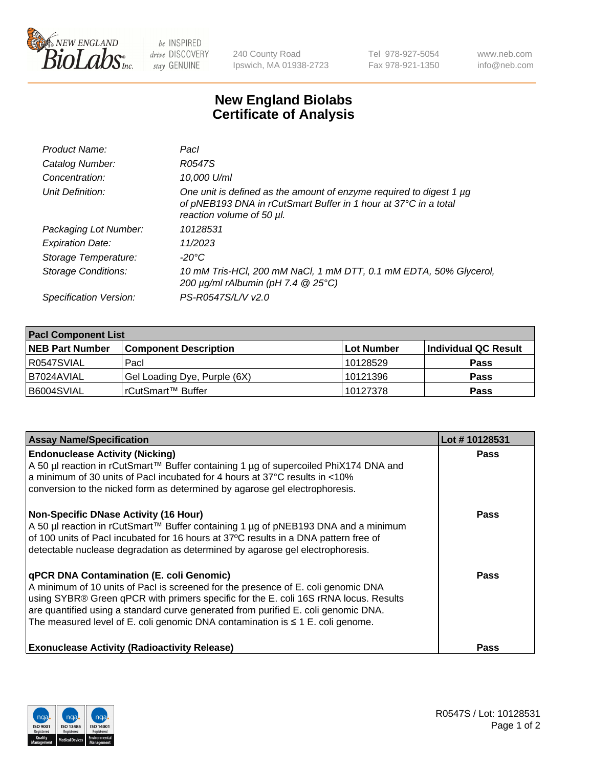

 $be$  INSPIRED drive DISCOVERY stay GENUINE

240 County Road Ipswich, MA 01938-2723 Tel 978-927-5054 Fax 978-921-1350 www.neb.com info@neb.com

## **New England Biolabs Certificate of Analysis**

| Product Name:           | Pacl                                                                                                                                                                |
|-------------------------|---------------------------------------------------------------------------------------------------------------------------------------------------------------------|
| Catalog Number:         | R0547S                                                                                                                                                              |
| Concentration:          | 10,000 U/ml                                                                                                                                                         |
| Unit Definition:        | One unit is defined as the amount of enzyme required to digest 1 µg<br>of pNEB193 DNA in rCutSmart Buffer in 1 hour at 37°C in a total<br>reaction volume of 50 µl. |
| Packaging Lot Number:   | 10128531                                                                                                                                                            |
| <b>Expiration Date:</b> | 11/2023                                                                                                                                                             |
| Storage Temperature:    | $-20^{\circ}$ C                                                                                                                                                     |
| Storage Conditions:     | 10 mM Tris-HCl, 200 mM NaCl, 1 mM DTT, 0.1 mM EDTA, 50% Glycerol,<br>200 $\mu$ g/ml rAlbumin (pH 7.4 $@$ 25°C)                                                      |
| Specification Version:  | PS-R0547S/L/V v2.0                                                                                                                                                  |
|                         |                                                                                                                                                                     |

| <b>Pacl Component List</b> |                              |            |                      |  |  |
|----------------------------|------------------------------|------------|----------------------|--|--|
| <b>NEB Part Number</b>     | <b>Component Description</b> | Lot Number | Individual QC Result |  |  |
| R0547SVIAL                 | Pacl                         | 10128529   | <b>Pass</b>          |  |  |
| B7024AVIAL                 | Gel Loading Dye, Purple (6X) | 10121396   | <b>Pass</b>          |  |  |
| B6004SVIAL                 | rCutSmart™ Buffer            | 10127378   | <b>Pass</b>          |  |  |

| <b>Assay Name/Specification</b>                                                                                                                                                                                                                                                                                                                                                                    | Lot #10128531 |
|----------------------------------------------------------------------------------------------------------------------------------------------------------------------------------------------------------------------------------------------------------------------------------------------------------------------------------------------------------------------------------------------------|---------------|
| <b>Endonuclease Activity (Nicking)</b><br>A 50 µl reaction in rCutSmart™ Buffer containing 1 µg of supercoiled PhiX174 DNA and<br>a minimum of 30 units of Pacl incubated for 4 hours at 37°C results in <10%<br>conversion to the nicked form as determined by agarose gel electrophoresis.                                                                                                       | <b>Pass</b>   |
| <b>Non-Specific DNase Activity (16 Hour)</b><br>A 50 µl reaction in rCutSmart™ Buffer containing 1 µg of pNEB193 DNA and a minimum<br>of 100 units of Pacl incubated for 16 hours at 37°C results in a DNA pattern free of<br>detectable nuclease degradation as determined by agarose gel electrophoresis.                                                                                        | <b>Pass</b>   |
| qPCR DNA Contamination (E. coli Genomic)<br>A minimum of 10 units of Pacl is screened for the presence of E. coli genomic DNA<br>using SYBR® Green qPCR with primers specific for the E. coli 16S rRNA locus. Results<br>are quantified using a standard curve generated from purified E. coli genomic DNA.<br>The measured level of E. coli genomic DNA contamination is $\leq 1$ E. coli genome. | <b>Pass</b>   |
| <b>Exonuclease Activity (Radioactivity Release)</b>                                                                                                                                                                                                                                                                                                                                                | <b>Pass</b>   |